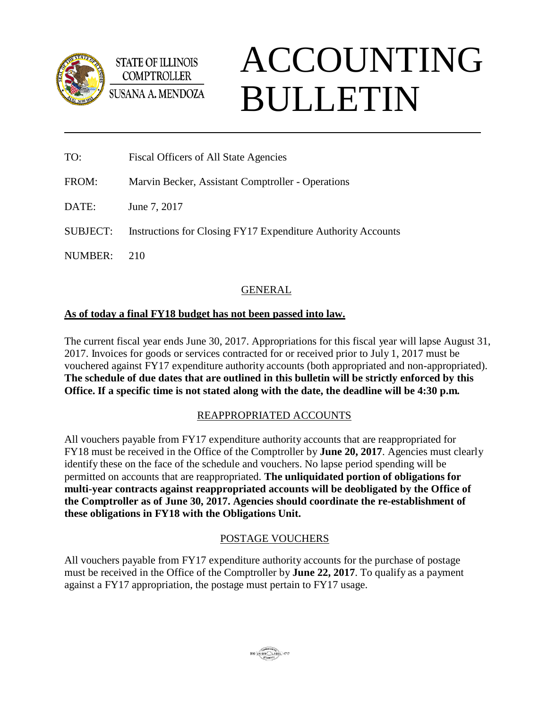

**STATE OF ILLINOIS COMPTROLLER SUSANA A. MENDOZA** 

# ACCOUNTING BULLETIN

- TO: Fiscal Officers of All State Agencies
- FROM: Marvin Becker, Assistant Comptroller Operations

DATE: June 7, 2017

SUBJECT: Instructions for Closing FY17 Expenditure Authority Accounts

NUMBER: 210

# GENERAL

# **As of today a final FY18 budget has not been passed into law.**

The current fiscal year ends June 30, 2017. Appropriations for this fiscal year will lapse August 31, 2017. Invoices for goods or services contracted for or received prior to July 1, 2017 must be vouchered against FY17 expenditure authority accounts (both appropriated and non-appropriated). **The schedule of due dates that are outlined in this bulletin will be strictly enforced by this Office. If a specific time is not stated along with the date, the deadline will be 4:30 p.m.**

# REAPPROPRIATED ACCOUNTS

All vouchers payable from FY17 expenditure authority accounts that are reappropriated for FY18 must be received in the Office of the Comptroller by **June 20, 2017**. Agencies must clearly identify these on the face of the schedule and vouchers. No lapse period spending will be permitted on accounts that are reappropriated. **The unliquidated portion of obligations for multi-year contracts against reappropriated accounts will be deobligated by the Office of the Comptroller as of June 30, 2017. Agencies should coordinate the re-establishment of these obligations in FY18 with the Obligations Unit.**

# POSTAGE VOUCHERS

All vouchers payable from FY17 expenditure authority accounts for the purchase of postage must be received in the Office of the Comptroller by **June 22, 2017**. To qualify as a payment against a FY17 appropriation, the postage must pertain to FY17 usage.

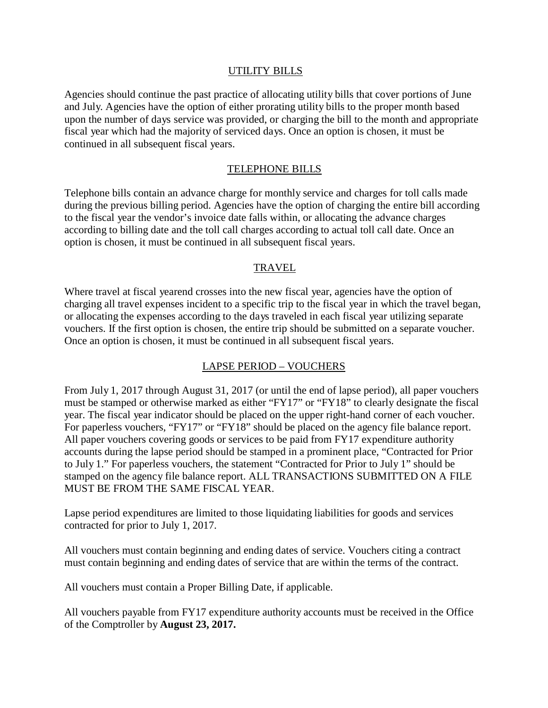## UTILITY BILLS

Agencies should continue the past practice of allocating utility bills that cover portions of June and July. Agencies have the option of either prorating utility bills to the proper month based upon the number of days service was provided, or charging the bill to the month and appropriate fiscal year which had the majority of serviced days. Once an option is chosen, it must be continued in all subsequent fiscal years.

## TELEPHONE BILLS

Telephone bills contain an advance charge for monthly service and charges for toll calls made during the previous billing period. Agencies have the option of charging the entire bill according to the fiscal year the vendor's invoice date falls within, or allocating the advance charges according to billing date and the toll call charges according to actual toll call date. Once an option is chosen, it must be continued in all subsequent fiscal years.

#### TRAVEL

Where travel at fiscal yearend crosses into the new fiscal year, agencies have the option of charging all travel expenses incident to a specific trip to the fiscal year in which the travel began, or allocating the expenses according to the days traveled in each fiscal year utilizing separate vouchers. If the first option is chosen, the entire trip should be submitted on a separate voucher. Once an option is chosen, it must be continued in all subsequent fiscal years.

#### LAPSE PERIOD – VOUCHERS

From July 1, 2017 through August 31, 2017 (or until the end of lapse period), all paper vouchers must be stamped or otherwise marked as either "FY17" or "FY18" to clearly designate the fiscal year. The fiscal year indicator should be placed on the upper right-hand corner of each voucher. For paperless vouchers, "FY17" or "FY18" should be placed on the agency file balance report. All paper vouchers covering goods or services to be paid from FY17 expenditure authority accounts during the lapse period should be stamped in a prominent place, "Contracted for Prior to July 1." For paperless vouchers, the statement "Contracted for Prior to July 1" should be stamped on the agency file balance report. ALL TRANSACTIONS SUBMITTED ON A FILE MUST BE FROM THE SAME FISCAL YEAR.

Lapse period expenditures are limited to those liquidating liabilities for goods and services contracted for prior to July 1, 2017.

All vouchers must contain beginning and ending dates of service. Vouchers citing a contract must contain beginning and ending dates of service that are within the terms of the contract.

All vouchers must contain a Proper Billing Date, if applicable.

All vouchers payable from FY17 expenditure authority accounts must be received in the Office of the Comptroller by **August 23, 2017.**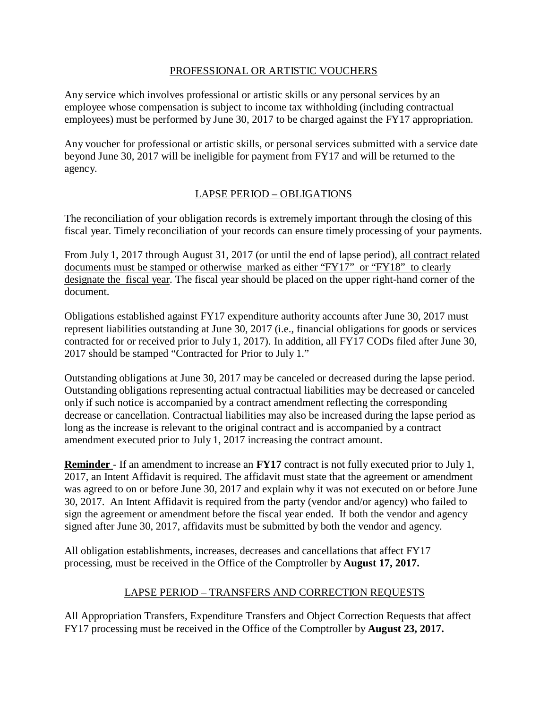## PROFESSIONAL OR ARTISTIC VOUCHERS

Any service which involves professional or artistic skills or any personal services by an employee whose compensation is subject to income tax withholding (including contractual employees) must be performed by June 30, 2017 to be charged against the FY17 appropriation.

Any voucher for professional or artistic skills, or personal services submitted with a service date beyond June 30, 2017 will be ineligible for payment from FY17 and will be returned to the agency.

# LAPSE PERIOD – OBLIGATIONS

The reconciliation of your obligation records is extremely important through the closing of this fiscal year. Timely reconciliation of your records can ensure timely processing of your payments.

From July 1, 2017 through August 31, 2017 (or until the end of lapse period), all contract related documents must be stamped or otherwise marked as either "FY17" or "FY18" to clearly designate the fiscal year. The fiscal year should be placed on the upper right-hand corner of the document.

Obligations established against FY17 expenditure authority accounts after June 30, 2017 must represent liabilities outstanding at June 30, 2017 (i.e., financial obligations for goods or services contracted for or received prior to July 1, 2017). In addition, all FY17 CODs filed after June 30, 2017 should be stamped "Contracted for Prior to July 1."

Outstanding obligations at June 30, 2017 may be canceled or decreased during the lapse period. Outstanding obligations representing actual contractual liabilities may be decreased or canceled only if such notice is accompanied by a contract amendment reflecting the corresponding decrease or cancellation. Contractual liabilities may also be increased during the lapse period as long as the increase is relevant to the original contract and is accompanied by a contract amendment executed prior to July 1, 2017 increasing the contract amount.

**Reminder** - If an amendment to increase an **FY17** contract is not fully executed prior to July 1, 2017, an Intent Affidavit is required. The affidavit must state that the agreement or amendment was agreed to on or before June 30, 2017 and explain why it was not executed on or before June 30, 2017. An Intent Affidavit is required from the party (vendor and/or agency) who failed to sign the agreement or amendment before the fiscal year ended. If both the vendor and agency signed after June 30, 2017, affidavits must be submitted by both the vendor and agency.

All obligation establishments, increases, decreases and cancellations that affect FY17 processing, must be received in the Office of the Comptroller by **August 17, 2017.**

# LAPSE PERIOD – TRANSFERS AND CORRECTION REQUESTS

All Appropriation Transfers, Expenditure Transfers and Object Correction Requests that affect FY17 processing must be received in the Office of the Comptroller by **August 23, 2017.**